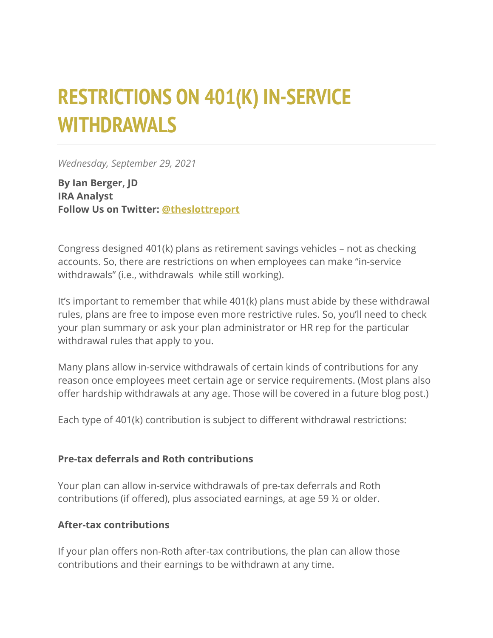# **RESTRICTIONS ON 401(K) IN-SERVICE WITHDRAWALS**

*Wednesday, September 29, 2021*

**By Ian Berger, JD IRA Analyst Follow Us on Twitter: [@theslottreport](https://twitter.com/theslottreport)**

Congress designed 401(k) plans as retirement savings vehicles – not as checking accounts. So, there are restrictions on when employees can make "in-service withdrawals" (i.e., withdrawals while still working).

It's important to remember that while 401(k) plans must abide by these withdrawal rules, plans are free to impose even more restrictive rules. So, you'll need to check your plan summary or ask your plan administrator or HR rep for the particular withdrawal rules that apply to you.

Many plans allow in-service withdrawals of certain kinds of contributions for any reason once employees meet certain age or service requirements. (Most plans also offer hardship withdrawals at any age. Those will be covered in a future blog post.)

Each type of 401(k) contribution is subject to different withdrawal restrictions:

#### **Pre-tax deferrals and Roth contributions**

Your plan can allow in-service withdrawals of pre-tax deferrals and Roth contributions (if offered), plus associated earnings, at age 59 ½ or older.

#### **After-tax contributions**

If your plan offers non-Roth after-tax contributions, the plan can allow those contributions and their earnings to be withdrawn at any time.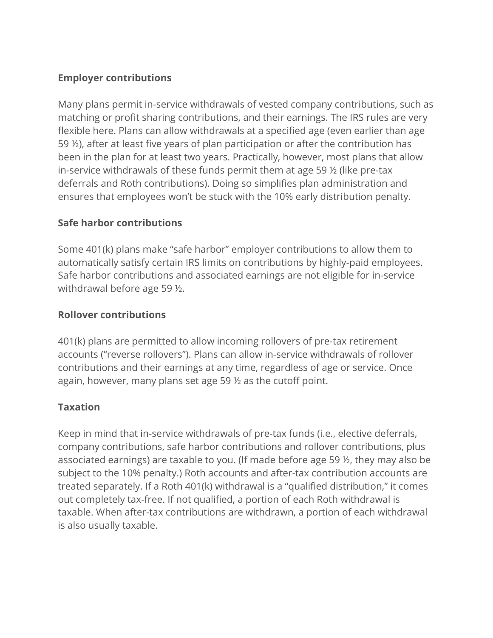# **Employer contributions**

Many plans permit in-service withdrawals of vested company contributions, such as matching or profit sharing contributions, and their earnings. The IRS rules are very flexible here. Plans can allow withdrawals at a specified age (even earlier than age 59 ½), after at least five years of plan participation or after the contribution has been in the plan for at least two years. Practically, however, most plans that allow in-service withdrawals of these funds permit them at age 59 ½ (like pre-tax deferrals and Roth contributions). Doing so simplifies plan administration and ensures that employees won't be stuck with the 10% early distribution penalty.

## **Safe harbor contributions**

Some 401(k) plans make "safe harbor" employer contributions to allow them to automatically satisfy certain IRS limits on contributions by highly-paid employees. Safe harbor contributions and associated earnings are not eligible for in-service withdrawal before age 59 ½.

### **Rollover contributions**

401(k) plans are permitted to allow incoming rollovers of pre-tax retirement accounts ("reverse rollovers"). Plans can allow in-service withdrawals of rollover contributions and their earnings at any time, regardless of age or service. Once again, however, many plans set age 59 ½ as the cutoff point.

## **Taxation**

Keep in mind that in-service withdrawals of pre-tax funds (i.e., elective deferrals, company contributions, safe harbor contributions and rollover contributions, plus associated earnings) are taxable to you. (If made before age 59 ½, they may also be subject to the 10% penalty.) Roth accounts and after-tax contribution accounts are treated separately. If a Roth 401(k) withdrawal is a "qualified distribution," it comes out completely tax-free. If not qualified, a portion of each Roth withdrawal is taxable. When after-tax contributions are withdrawn, a portion of each withdrawal is also usually taxable.